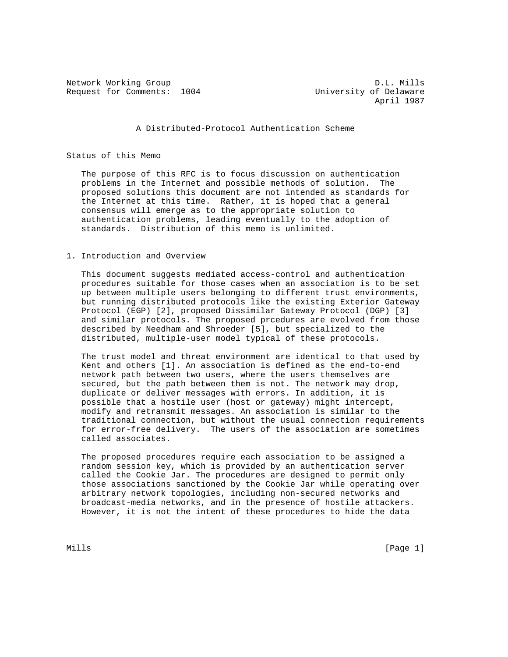Request for Comments: 1004 University of Delaware

Network Working Group D.L. Mills April 1987

A Distributed-Protocol Authentication Scheme

## Status of this Memo

 The purpose of this RFC is to focus discussion on authentication problems in the Internet and possible methods of solution. The proposed solutions this document are not intended as standards for the Internet at this time. Rather, it is hoped that a general consensus will emerge as to the appropriate solution to authentication problems, leading eventually to the adoption of standards. Distribution of this memo is unlimited.

## 1. Introduction and Overview

 This document suggests mediated access-control and authentication procedures suitable for those cases when an association is to be set up between multiple users belonging to different trust environments, but running distributed protocols like the existing Exterior Gateway Protocol (EGP) [2], proposed Dissimilar Gateway Protocol (DGP) [3] and similar protocols. The proposed prcedures are evolved from those described by Needham and Shroeder [5], but specialized to the distributed, multiple-user model typical of these protocols.

 The trust model and threat environment are identical to that used by Kent and others [1]. An association is defined as the end-to-end network path between two users, where the users themselves are secured, but the path between them is not. The network may drop, duplicate or deliver messages with errors. In addition, it is possible that a hostile user (host or gateway) might intercept, modify and retransmit messages. An association is similar to the traditional connection, but without the usual connection requirements for error-free delivery. The users of the association are sometimes called associates.

 The proposed procedures require each association to be assigned a random session key, which is provided by an authentication server called the Cookie Jar. The procedures are designed to permit only those associations sanctioned by the Cookie Jar while operating over arbitrary network topologies, including non-secured networks and broadcast-media networks, and in the presence of hostile attackers. However, it is not the intent of these procedures to hide the data

Mills [Page 1]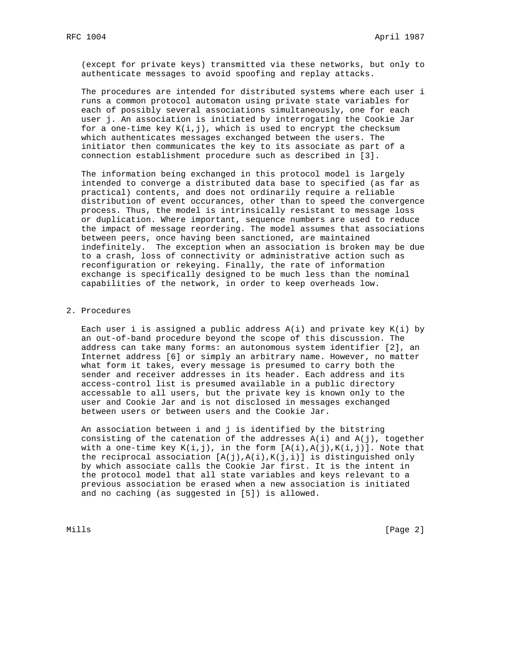(except for private keys) transmitted via these networks, but only to authenticate messages to avoid spoofing and replay attacks.

 The procedures are intended for distributed systems where each user i runs a common protocol automaton using private state variables for each of possibly several associations simultaneously, one for each user j. An association is initiated by interrogating the Cookie Jar for a one-time key  $K(i,j)$ , which is used to encrypt the checksum which authenticates messages exchanged between the users. The initiator then communicates the key to its associate as part of a connection establishment procedure such as described in [3].

 The information being exchanged in this protocol model is largely intended to converge a distributed data base to specified (as far as practical) contents, and does not ordinarily require a reliable distribution of event occurances, other than to speed the convergence process. Thus, the model is intrinsically resistant to message loss or duplication. Where important, sequence numbers are used to reduce the impact of message reordering. The model assumes that associations between peers, once having been sanctioned, are maintained indefinitely. The exception when an association is broken may be due to a crash, loss of connectivity or administrative action such as reconfiguration or rekeying. Finally, the rate of information exchange is specifically designed to be much less than the nominal capabilities of the network, in order to keep overheads low.

# 2. Procedures

Each user i is assigned a public address  $A(i)$  and private key  $K(i)$  by an out-of-band procedure beyond the scope of this discussion. The address can take many forms: an autonomous system identifier [2], an Internet address [6] or simply an arbitrary name. However, no matter what form it takes, every message is presumed to carry both the sender and receiver addresses in its header. Each address and its access-control list is presumed available in a public directory accessable to all users, but the private key is known only to the user and Cookie Jar and is not disclosed in messages exchanged between users or between users and the Cookie Jar.

 An association between i and j is identified by the bitstring consisting of the catenation of the addresses  $A(i)$  and  $A(j)$ , together with a one-time key  $K(i,j)$ , in the form  $[A(i),A(j),K(i,j)]$ . Note that the reciprocal association  $[A(j),A(i),K(j,i)]$  is distinguished only by which associate calls the Cookie Jar first. It is the intent in the protocol model that all state variables and keys relevant to a previous association be erased when a new association is initiated and no caching (as suggested in [5]) is allowed.

Mills **Example 2** and the contract of the contract of the contract of the contract of  $[$  Page 2  $]$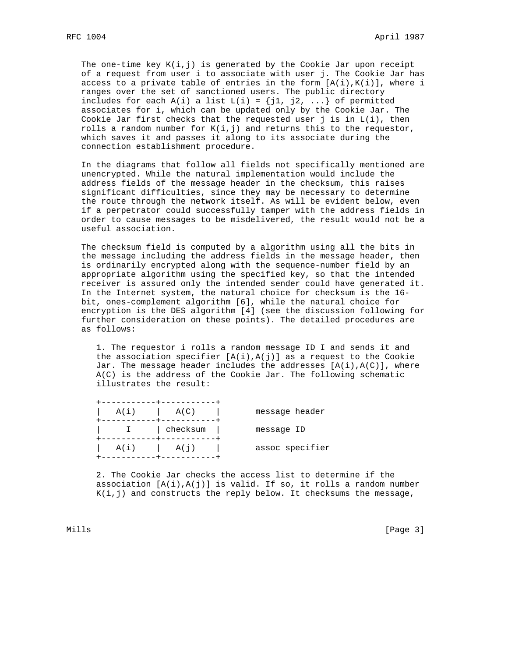The one-time key  $K(i,j)$  is generated by the Cookie Jar upon receipt of a request from user i to associate with user j. The Cookie Jar has access to a private table of entries in the form  $[A(i), K(i)]$ , where i ranges over the set of sanctioned users. The public directory includes for each  $A(i)$  a list  $L(i) = \{j1, j2, ... \}$  of permitted associates for i, which can be updated only by the Cookie Jar. The Cookie Jar first checks that the requested user j is in L(i), then rolls a random number for  $K(i,j)$  and returns this to the requestor, which saves it and passes it along to its associate during the connection establishment procedure.

 In the diagrams that follow all fields not specifically mentioned are unencrypted. While the natural implementation would include the address fields of the message header in the checksum, this raises significant difficulties, since they may be necessary to determine the route through the network itself. As will be evident below, even if a perpetrator could successfully tamper with the address fields in order to cause messages to be misdelivered, the result would not be a useful association.

 The checksum field is computed by a algorithm using all the bits in the message including the address fields in the message header, then is ordinarily encrypted along with the sequence-number field by an appropriate algorithm using the specified key, so that the intended receiver is assured only the intended sender could have generated it. In the Internet system, the natural choice for checksum is the 16 bit, ones-complement algorithm [6], while the natural choice for encryption is the DES algorithm [4] (see the discussion following for further consideration on these points). The detailed procedures are as follows:

 1. The requestor i rolls a random message ID I and sends it and the association specifier  $[A(i),A(j)]$  as a request to the Cookie Jar. The message header includes the addresses  $[A(i),A(C)]$ , where A(C) is the address of the Cookie Jar. The following schematic illustrates the result:

| $A(i)$ $A(C)$ |                               | message header  |
|---------------|-------------------------------|-----------------|
|               | I   checksum  <br>----------- | message ID      |
|               | $A(i)$ $A(j)$                 | assoc specifier |

 2. The Cookie Jar checks the access list to determine if the association  $[A(i),A(j)]$  is valid. If so, it rolls a random number  $K(i,j)$  and constructs the reply below. It checksums the message,

Mills **Example 20** (Page 3)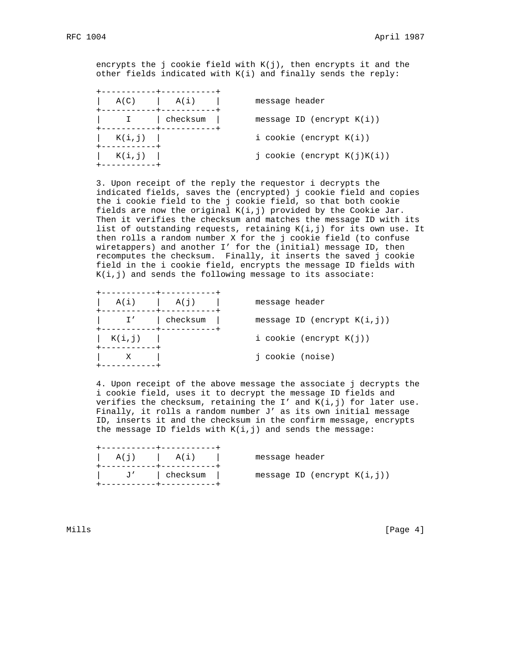encrypts the j cookie field with  $K(j)$ , then encrypts it and the other fields indicated with K(i) and finally sends the reply:

| A(C)<br>+-----------+-----------     | A(i)     | message header                 |
|--------------------------------------|----------|--------------------------------|
| ----------- <del>-</del> ----------- | checksum | message ID (encrypt $K(i)$ )   |
| $K(i,j)$                             |          | i cookie (encrypt $K(i)$ )     |
| . _ _ _ _ _ _ _ _ _ .<br>$K(i,j)$    |          | j cookie (encrypt $K(j)K(i)$ ) |
|                                      |          |                                |

 3. Upon receipt of the reply the requestor i decrypts the indicated fields, saves the (encrypted) j cookie field and copies the i cookie field to the j cookie field, so that both cookie fields are now the original K(i,j) provided by the Cookie Jar. Then it verifies the checksum and matches the message ID with its list of outstanding requests, retaining K(i,j) for its own use. It then rolls a random number X for the j cookie field (to confuse wiretappers) and another I' for the (initial) message ID, then recomputes the checksum. Finally, it inserts the saved j cookie field in the i cookie field, encrypts the message ID fields with  $K(i,j)$  and sends the following message to its associate:

|                                       | -----------+----------- |                                 |
|---------------------------------------|-------------------------|---------------------------------|
| +-----------+-----------+             | $A(i)$ $A(j)$ $I$       | message header                  |
| +-----------+-----------+             | I'   checksum           | message ID (encrypt $K(i, j)$ ) |
| $K(i,j)$  <br>- - - - - - - - - - - - |                         | i cookie (encrypt $K(j)$ )      |
|                                       |                         | i cookie (noise)                |
|                                       |                         |                                 |

 4. Upon receipt of the above message the associate j decrypts the i cookie field, uses it to decrypt the message ID fields and verifies the checksum, retaining the  $I'$  and  $K(i,j)$  for later use. Finally, it rolls a random number J' as its own initial message ID, inserts it and the checksum in the confirm message, encrypts the message ID fields with  $K(i,j)$  and sends the message:

| $A(i)$ $A(i)$ |               | message header |                                |
|---------------|---------------|----------------|--------------------------------|
|               | J'   checksum |                | message ID (encrypt $K(i,j)$ ) |

Mills [Page 4]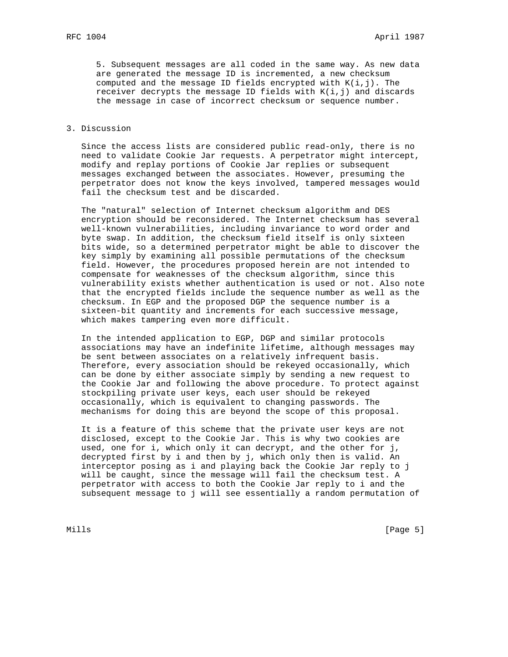5. Subsequent messages are all coded in the same way. As new data are generated the message ID is incremented, a new checksum computed and the message ID fields encrypted with  $K(i,j)$ . The receiver decrypts the message ID fields with  $K(i,j)$  and discards the message in case of incorrect checksum or sequence number.

#### 3. Discussion

 Since the access lists are considered public read-only, there is no need to validate Cookie Jar requests. A perpetrator might intercept, modify and replay portions of Cookie Jar replies or subsequent messages exchanged between the associates. However, presuming the perpetrator does not know the keys involved, tampered messages would fail the checksum test and be discarded.

 The "natural" selection of Internet checksum algorithm and DES encryption should be reconsidered. The Internet checksum has several well-known vulnerabilities, including invariance to word order and byte swap. In addition, the checksum field itself is only sixteen bits wide, so a determined perpetrator might be able to discover the key simply by examining all possible permutations of the checksum field. However, the procedures proposed herein are not intended to compensate for weaknesses of the checksum algorithm, since this vulnerability exists whether authentication is used or not. Also note that the encrypted fields include the sequence number as well as the checksum. In EGP and the proposed DGP the sequence number is a sixteen-bit quantity and increments for each successive message, which makes tampering even more difficult.

 In the intended application to EGP, DGP and similar protocols associations may have an indefinite lifetime, although messages may be sent between associates on a relatively infrequent basis. Therefore, every association should be rekeyed occasionally, which can be done by either associate simply by sending a new request to the Cookie Jar and following the above procedure. To protect against stockpiling private user keys, each user should be rekeyed occasionally, which is equivalent to changing passwords. The mechanisms for doing this are beyond the scope of this proposal.

 It is a feature of this scheme that the private user keys are not disclosed, except to the Cookie Jar. This is why two cookies are used, one for i, which only it can decrypt, and the other for j, decrypted first by i and then by j, which only then is valid. An interceptor posing as i and playing back the Cookie Jar reply to j will be caught, since the message will fail the checksum test. A perpetrator with access to both the Cookie Jar reply to i and the subsequent message to j will see essentially a random permutation of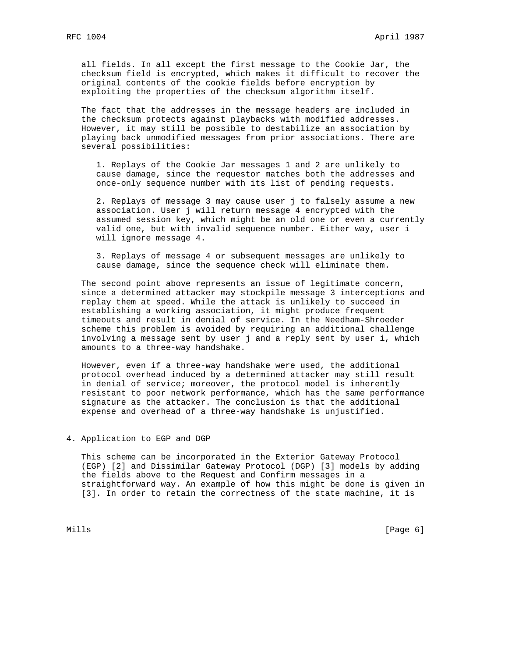all fields. In all except the first message to the Cookie Jar, the checksum field is encrypted, which makes it difficult to recover the original contents of the cookie fields before encryption by exploiting the properties of the checksum algorithm itself.

 The fact that the addresses in the message headers are included in the checksum protects against playbacks with modified addresses. However, it may still be possible to destabilize an association by playing back unmodified messages from prior associations. There are several possibilities:

 1. Replays of the Cookie Jar messages 1 and 2 are unlikely to cause damage, since the requestor matches both the addresses and once-only sequence number with its list of pending requests.

 2. Replays of message 3 may cause user j to falsely assume a new association. User j will return message 4 encrypted with the assumed session key, which might be an old one or even a currently valid one, but with invalid sequence number. Either way, user i will ignore message 4.

 3. Replays of message 4 or subsequent messages are unlikely to cause damage, since the sequence check will eliminate them.

 The second point above represents an issue of legitimate concern, since a determined attacker may stockpile message 3 interceptions and replay them at speed. While the attack is unlikely to succeed in establishing a working association, it might produce frequent timeouts and result in denial of service. In the Needham-Shroeder scheme this problem is avoided by requiring an additional challenge involving a message sent by user j and a reply sent by user i, which amounts to a three-way handshake.

 However, even if a three-way handshake were used, the additional protocol overhead induced by a determined attacker may still result in denial of service; moreover, the protocol model is inherently resistant to poor network performance, which has the same performance signature as the attacker. The conclusion is that the additional expense and overhead of a three-way handshake is unjustified.

# 4. Application to EGP and DGP

 This scheme can be incorporated in the Exterior Gateway Protocol (EGP) [2] and Dissimilar Gateway Protocol (DGP) [3] models by adding the fields above to the Request and Confirm messages in a straightforward way. An example of how this might be done is given in [3]. In order to retain the correctness of the state machine, it is

Mills **Example 2** (Page 6) **Mills**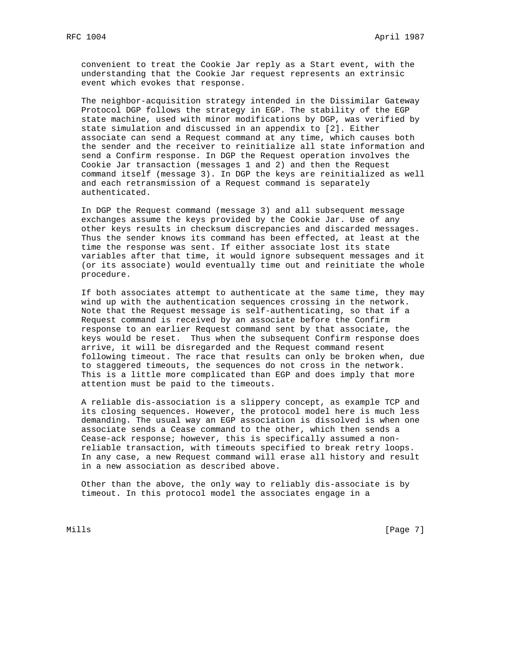convenient to treat the Cookie Jar reply as a Start event, with the understanding that the Cookie Jar request represents an extrinsic event which evokes that response.

 The neighbor-acquisition strategy intended in the Dissimilar Gateway Protocol DGP follows the strategy in EGP. The stability of the EGP state machine, used with minor modifications by DGP, was verified by state simulation and discussed in an appendix to [2]. Either associate can send a Request command at any time, which causes both the sender and the receiver to reinitialize all state information and send a Confirm response. In DGP the Request operation involves the Cookie Jar transaction (messages 1 and 2) and then the Request command itself (message 3). In DGP the keys are reinitialized as well and each retransmission of a Request command is separately authenticated.

 In DGP the Request command (message 3) and all subsequent message exchanges assume the keys provided by the Cookie Jar. Use of any other keys results in checksum discrepancies and discarded messages. Thus the sender knows its command has been effected, at least at the time the response was sent. If either associate lost its state variables after that time, it would ignore subsequent messages and it (or its associate) would eventually time out and reinitiate the whole procedure.

 If both associates attempt to authenticate at the same time, they may wind up with the authentication sequences crossing in the network. Note that the Request message is self-authenticating, so that if a Request command is received by an associate before the Confirm response to an earlier Request command sent by that associate, the keys would be reset. Thus when the subsequent Confirm response does arrive, it will be disregarded and the Request command resent following timeout. The race that results can only be broken when, due to staggered timeouts, the sequences do not cross in the network. This is a little more complicated than EGP and does imply that more attention must be paid to the timeouts.

 A reliable dis-association is a slippery concept, as example TCP and its closing sequences. However, the protocol model here is much less demanding. The usual way an EGP association is dissolved is when one associate sends a Cease command to the other, which then sends a Cease-ack response; however, this is specifically assumed a non reliable transaction, with timeouts specified to break retry loops. In any case, a new Request command will erase all history and result in a new association as described above.

 Other than the above, the only way to reliably dis-associate is by timeout. In this protocol model the associates engage in a

Mills [Page 7] [Page 7] [Page 7] [Page 7] [Page 7] [Page 7] [Page 7] [Page 7] [Page 7] [Page 7] [Page 7] [Page 7] [Page 7] [Page 7] [Page 7] [Page 7] [Page 7] [Page 7] [Page 7] [Page 7] [Page 7] [Page 7] [Page 7] [Page 7]